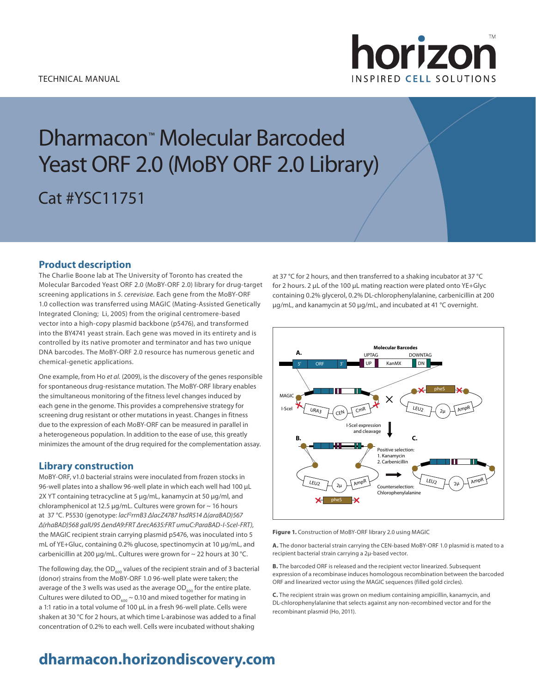

# Dharmacon™ Molecular Barcoded Yeast ORF 2.0 (MoBY ORF 2.0 Library) Cat #YSC11751

# **Product description**

The Charlie Boone lab at The University of Toronto has created the Molecular Barcoded Yeast ORF 2.0 (MoBY-ORF 2.0) library for drug-target screening applications in *S. cerevisiae.* Each gene from the MoBY-ORF 1.0 collection was transferred using MAGIC (Mating-Assisted Genetically Integrated Cloning; Li, 2005) from the original centromere-based vector into a high-copy plasmid backbone (p5476), and transformed into the BY4741 yeast strain. Each gene was moved in its entirety and is controlled by its native promoter and terminator and has two unique DNA barcodes. The MoBY-ORF 2.0 resource has numerous genetic and chemical-genetic applications.

One example, from Ho *et al.* (2009), is the discovery of the genes responsible for spontaneous drug-resistance mutation. The MoBY-ORF library enables the simultaneous monitoring of the fitness level changes induced by each gene in the genome. This provides a comprehensive strategy for screening drug resistant or other mutations in yeast. Changes in fitness due to the expression of each MoBY-ORF can be measured in parallel in a heterogeneous population. In addition to the ease of use, this greatly minimizes the amount of the drug required for the complementation assay.

## **Library construction**

MoBY-ORF, v1.0 bacterial strains were inoculated from frozen stocks in 96-well plates into a shallow 96-well plate in which each well had 100 µL 2X YT containing tetracycline at 5 µg/mL, kanamycin at 50 µg/ml, and chloramphenicol at 12.5  $\mu$ g/mL. Cultures were grown for  $\sim$  16 hours at 37 °C. P5530 (genotype: *lacIQrrnB3 ΔlacZ4787 hsdR514 Δ(araBAD)567 Δ(rhaBAD)568 galU95 ΔendA9:FRT ΔrecA635:FRT umuC:ParaBAD-I-SceI-FRT)*, the MAGIC recipient strain carrying plasmid p5476, was inoculated into 5 mL of YE+Gluc, containing 0.2% glucose, spectinomycin at 10 µg/mL, and carbenicillin at 200 µg/mL. Cultures were grown for  $\sim$  22 hours at 30 °C.

The following day, the  $OD<sub>600</sub>$  values of the recipient strain and of 3 bacterial (donor) strains from the MoBY-ORF 1.0 96-well plate were taken; the average of the 3 wells was used as the average  $OD_{600}$  for the entire plate. Cultures were diluted to  $OD_{600} \sim 0.10$  and mixed together for mating in a 1:1 ratio in a total volume of 100 µL in a fresh 96-well plate. Cells were shaken at 30 °C for 2 hours, at which time L-arabinose was added to a final concentration of 0.2% to each well. Cells were incubated without shaking

at 37 °C for 2 hours, and then transferred to a shaking incubator at 37 °C for 2 hours. 2 µL of the 100 µL mating reaction were plated onto YE+Glyc containing 0.2% glycerol, 0.2% DL-chlorophenylalanine, carbenicillin at 200 µg/mL, and kanamycin at 50 µg/mL, and incubated at 41 °C overnight.



**Figure 1.** Construction of MoBY-ORF library 2.0 using MAGIC

**A.** The donor bacterial strain carrying the CEN-based MoBY-ORF 1.0 plasmid is mated to a recipient bacterial strain carrying a 2µ-based vector.

**B.** The barcoded ORF is released and the recipient vector linearized. Subsequent expression of a recombinase induces homologous recombination between the barcoded ORF and linearized vector using the MAGIC sequences (filled gold circles).

**C.** The recipient strain was grown on medium containing ampicillin, kanamycin, and DL-chlorophenylalanine that selects against any non-recombined vector and for the recombinant plasmid (Ho, 2011).

# **dharmacon.horizondiscovery.com**